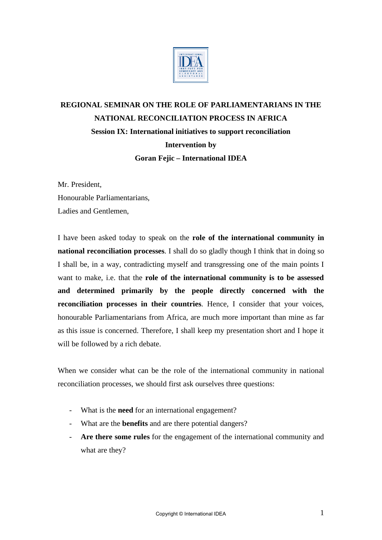

## **REGIONAL SEMINAR ON THE ROLE OF PARLIAMENTARIANS IN THE NATIONAL RECONCILIATION PROCESS IN AFRICA Session IX: International initiatives to support reconciliation Intervention by Goran Fejic – International IDEA**

Mr. President, Honourable Parliamentarians, Ladies and Gentlemen,

I have been asked today to speak on the **role of the international community in national reconciliation processes**. I shall do so gladly though I think that in doing so I shall be, in a way, contradicting myself and transgressing one of the main points I want to make, i.e. that the **role of the international community is to be assessed and determined primarily by the people directly concerned with the reconciliation processes in their countries**. Hence, I consider that your voices, honourable Parliamentarians from Africa, are much more important than mine as far as this issue is concerned. Therefore, I shall keep my presentation short and I hope it will be followed by a rich debate.

When we consider what can be the role of the international community in national reconciliation processes, we should first ask ourselves three questions:

- What is the **need** for an international engagement?
- What are the **benefits** and are there potential dangers?
- **Are there some rules** for the engagement of the international community and what are they?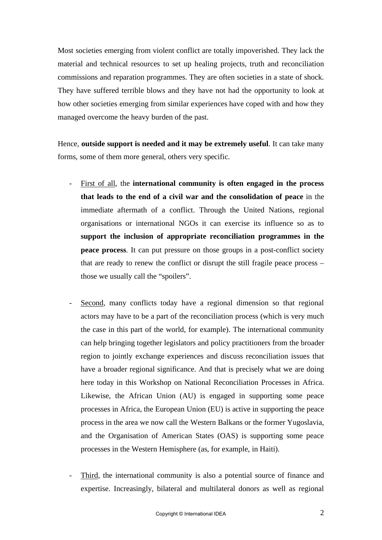Most societies emerging from violent conflict are totally impoverished. They lack the material and technical resources to set up healing projects, truth and reconciliation commissions and reparation programmes. They are often societies in a state of shock. They have suffered terrible blows and they have not had the opportunity to look at how other societies emerging from similar experiences have coped with and how they managed overcome the heavy burden of the past.

Hence, **outside support is needed and it may be extremely useful**. It can take many forms, some of them more general, others very specific.

- First of all, the **international community is often engaged in the process that leads to the end of a civil war and the consolidation of peace** in the immediate aftermath of a conflict. Through the United Nations, regional organisations or international NGOs it can exercise its influence so as to **support the inclusion of appropriate reconciliation programmes in the peace process**. It can put pressure on those groups in a post-conflict society that are ready to renew the conflict or disrupt the still fragile peace process – those we usually call the "spoilers".
- Second, many conflicts today have a regional dimension so that regional actors may have to be a part of the reconciliation process (which is very much the case in this part of the world, for example). The international community can help bringing together legislators and policy practitioners from the broader region to jointly exchange experiences and discuss reconciliation issues that have a broader regional significance. And that is precisely what we are doing here today in this Workshop on National Reconciliation Processes in Africa. Likewise, the African Union (AU) is engaged in supporting some peace processes in Africa, the European Union (EU) is active in supporting the peace process in the area we now call the Western Balkans or the former Yugoslavia, and the Organisation of American States (OAS) is supporting some peace processes in the Western Hemisphere (as, for example, in Haiti).
- Third, the international community is also a potential source of finance and expertise. Increasingly, bilateral and multilateral donors as well as regional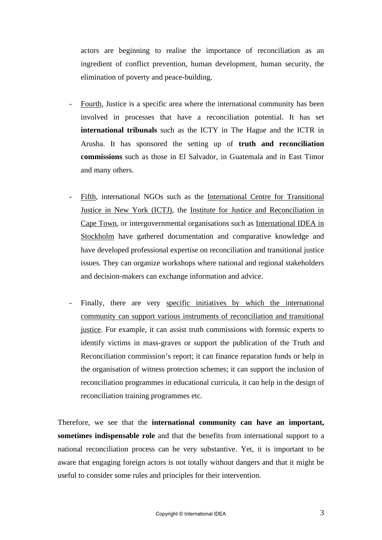actors are beginning to realise the importance of reconciliation as an ingredient of conflict prevention, human development, human security, the elimination of poverty and peace-building.

- Fourth, Justice is a specific area where the international community has been involved in processes that have a reconciliation potential. It has set **international tribunals** such as the ICTY in The Hague and the ICTR in Arusha. It has sponsored the setting up of **truth and reconciliation commissions** such as those in El Salvador, in Guatemala and in East Timor and many others.
- Fifth, international NGOs such as the International Centre for Transitional Justice in New York (ICTJ), the Institute for Justice and Reconciliation in Cape Town, or intergovernmental organisations such as International IDEA in Stockholm have gathered documentation and comparative knowledge and have developed professional expertise on reconciliation and transitional justice issues. They can organize workshops where national and regional stakeholders and decision-makers can exchange information and advice.
- Finally, there are very specific initiatives by which the international community can support various instruments of reconciliation and transitional justice. For example, it can assist truth commissions with forensic experts to identify victims in mass-graves or support the publication of the Truth and Reconciliation commission's report; it can finance reparation funds or help in the organisation of witness protection schemes; it can support the inclusion of reconciliation programmes in educational curricula, it can help in the design of reconciliation training programmes etc.

Therefore, we see that the **international community can have an important, sometimes indispensable role** and that the benefits from international support to a national reconciliation process can be very substantive. Yet, it is important to be aware that engaging foreign actors is not totally without dangers and that it might be useful to consider some rules and principles for their intervention.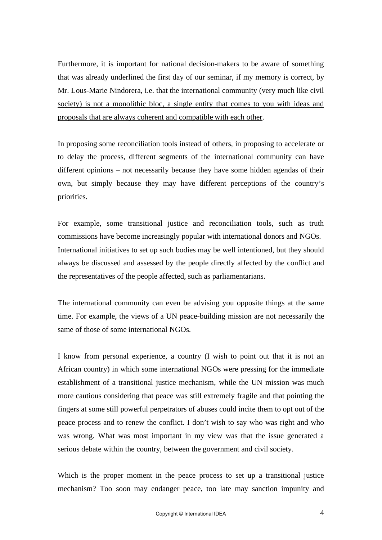Furthermore, it is important for national decision-makers to be aware of something that was already underlined the first day of our seminar, if my memory is correct, by Mr. Lous-Marie Nindorera, i.e. that the international community (very much like civil society) is not a monolithic bloc, a single entity that comes to you with ideas and proposals that are always coherent and compatible with each other.

In proposing some reconciliation tools instead of others, in proposing to accelerate or to delay the process, different segments of the international community can have different opinions – not necessarily because they have some hidden agendas of their own, but simply because they may have different perceptions of the country's priorities.

For example, some transitional justice and reconciliation tools, such as truth commissions have become increasingly popular with international donors and NGOs. International initiatives to set up such bodies may be well intentioned, but they should always be discussed and assessed by the people directly affected by the conflict and the representatives of the people affected, such as parliamentarians.

The international community can even be advising you opposite things at the same time. For example, the views of a UN peace-building mission are not necessarily the same of those of some international NGOs.

I know from personal experience, a country (I wish to point out that it is not an African country) in which some international NGOs were pressing for the immediate establishment of a transitional justice mechanism, while the UN mission was much more cautious considering that peace was still extremely fragile and that pointing the fingers at some still powerful perpetrators of abuses could incite them to opt out of the peace process and to renew the conflict. I don't wish to say who was right and who was wrong. What was most important in my view was that the issue generated a serious debate within the country, between the government and civil society.

Which is the proper moment in the peace process to set up a transitional justice mechanism? Too soon may endanger peace, too late may sanction impunity and